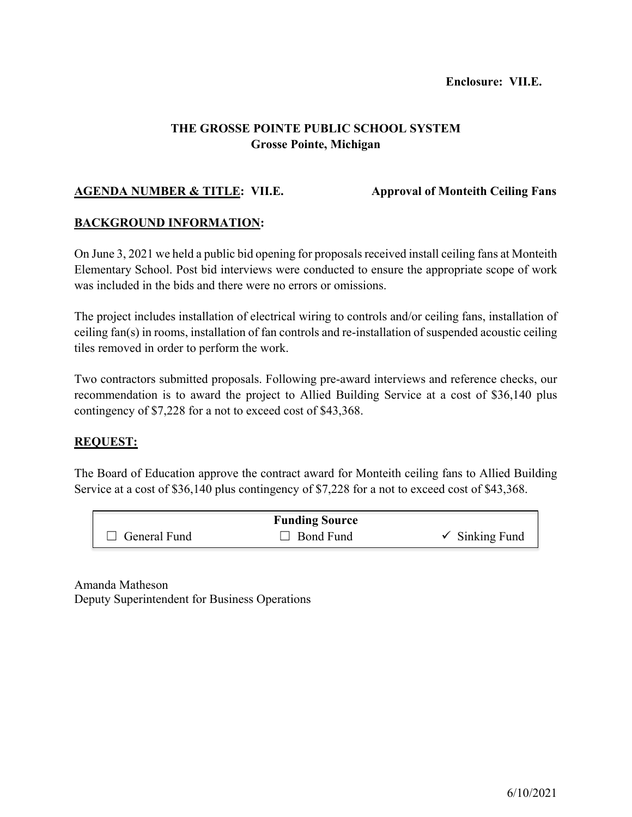# **THE GROSSE POINTE PUBLIC SCHOOL SYSTEM Grosse Pointe, Michigan**

## **AGENDA NUMBER & TITLE: VII.E. Approval of Monteith Ceiling Fans**

### **BACKGROUND INFORMATION:**

On June 3, 2021 we held a public bid opening for proposals received install ceiling fans at Monteith Elementary School. Post bid interviews were conducted to ensure the appropriate scope of work was included in the bids and there were no errors or omissions.

The project includes installation of electrical wiring to controls and/or ceiling fans, installation of ceiling fan(s) in rooms, installation of fan controls and re-installation of suspended acoustic ceiling tiles removed in order to perform the work.

Two contractors submitted proposals. Following pre-award interviews and reference checks, our recommendation is to award the project to Allied Building Service at a cost of \$36,140 plus contingency of \$7,228 for a not to exceed cost of \$43,368.

## **REQUEST:**

The Board of Education approve the contract award for Monteith ceiling fans to Allied Building Service at a cost of \$36,140 plus contingency of \$7,228 for a not to exceed cost of \$43,368.

| <b>Funding Source</b> |                  |                           |  |  |  |  |
|-----------------------|------------------|---------------------------|--|--|--|--|
| $\Box$ General Fund   | $\Box$ Bond Fund | $\checkmark$ Sinking Fund |  |  |  |  |

Amanda Matheson Deputy Superintendent for Business Operations